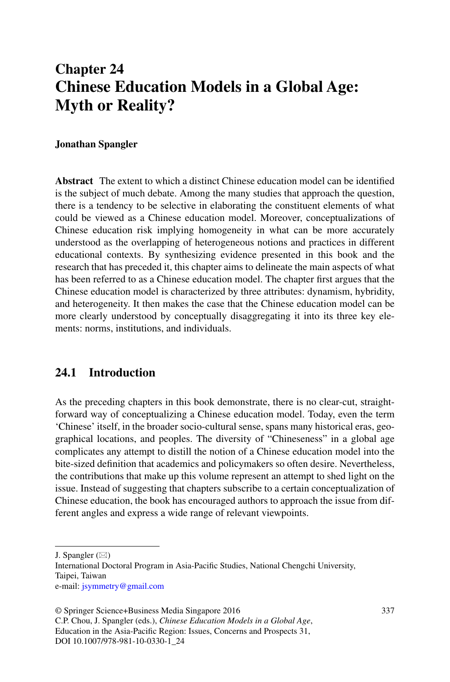# **Chapter 24 Chinese Education Models in a Global Age: Myth or Reality?**

### **Jonathan Spangler**

**Abstract** The extent to which a distinct Chinese education model can be identified is the subject of much debate. Among the many studies that approach the question, there is a tendency to be selective in elaborating the constituent elements of what could be viewed as a Chinese education model. Moreover, conceptualizations of Chinese education risk implying homogeneity in what can be more accurately understood as the overlapping of heterogeneous notions and practices in different educational contexts. By synthesizing evidence presented in this book and the research that has preceded it, this chapter aims to delineate the main aspects of what has been referred to as a Chinese education model. The chapter first argues that the Chinese education model is characterized by three attributes: dynamism, hybridity, and heterogeneity. It then makes the case that the Chinese education model can be more clearly understood by conceptually disaggregating it into its three key elements: norms, institutions, and individuals.

# **24.1 Introduction**

 As the preceding chapters in this book demonstrate, there is no clear-cut, straightforward way of conceptualizing a Chinese education model. Today, even the term 'Chinese' itself, in the broader socio-cultural sense, spans many historical eras, geographical locations, and peoples. The diversity of "Chineseness" in a global age complicates any attempt to distill the notion of a Chinese education model into the bite-sized definition that academics and policymakers so often desire. Nevertheless, the contributions that make up this volume represent an attempt to shed light on the issue. Instead of suggesting that chapters subscribe to a certain conceptualization of Chinese education, the book has encouraged authors to approach the issue from different angles and express a wide range of relevant viewpoints.

J. Spangler  $(\boxtimes)$ 

International Doctoral Program in Asia-Pacific Studies, National Chengchi University, Taipei, Taiwan

e-mail: [jsymmetry@gmail.com](mailto:jsymmetry@gmail.com)

<sup>©</sup> Springer Science+Business Media Singapore 2016 337

C.P. Chou, J. Spangler (eds.), *Chinese Education Models in a Global Age*,

Education in the Asia-Pacific Region: Issues, Concerns and Prospects 31, DOI 10.1007/978-981-10-0330-1\_24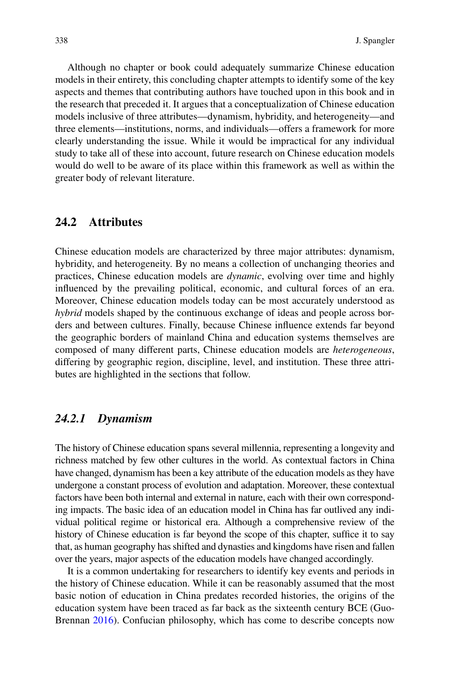Although no chapter or book could adequately summarize Chinese education models in their entirety, this concluding chapter attempts to identify some of the key aspects and themes that contributing authors have touched upon in this book and in the research that preceded it. It argues that a conceptualization of Chinese education models inclusive of three attributes—dynamism, hybridity, and heterogeneity—and three elements—institutions, norms, and individuals—offers a framework for more clearly understanding the issue. While it would be impractical for any individual study to take all of these into account, future research on Chinese education models would do well to be aware of its place within this framework as well as within the greater body of relevant literature.

# **24.2 Attributes**

 Chinese education models are characterized by three major attributes: dynamism, hybridity, and heterogeneity. By no means a collection of unchanging theories and practices, Chinese education models are *dynamic* , evolving over time and highly influenced by the prevailing political, economic, and cultural forces of an era. Moreover, Chinese education models today can be most accurately understood as *hybrid* models shaped by the continuous exchange of ideas and people across borders and between cultures. Finally, because Chinese influence extends far beyond the geographic borders of mainland China and education systems themselves are composed of many different parts, Chinese education models are *heterogeneous* , differing by geographic region, discipline, level, and institution. These three attributes are highlighted in the sections that follow.

# *24.2.1 Dynamism*

 The history of Chinese education spans several millennia, representing a longevity and richness matched by few other cultures in the world. As contextual factors in China have changed, dynamism has been a key attribute of the education models as they have undergone a constant process of evolution and adaptation. Moreover, these contextual factors have been both internal and external in nature, each with their own corresponding impacts. The basic idea of an education model in China has far outlived any individual political regime or historical era. Although a comprehensive review of the history of Chinese education is far beyond the scope of this chapter, suffice it to say that, as human geography has shifted and dynasties and kingdoms have risen and fallen over the years, major aspects of the education models have changed accordingly.

 It is a common undertaking for researchers to identify key events and periods in the history of Chinese education. While it can be reasonably assumed that the most basic notion of education in China predates recorded histories, the origins of the education system have been traced as far back as the sixteenth century BCE (Guo-Brennan 2016). Confucian philosophy, which has come to describe concepts now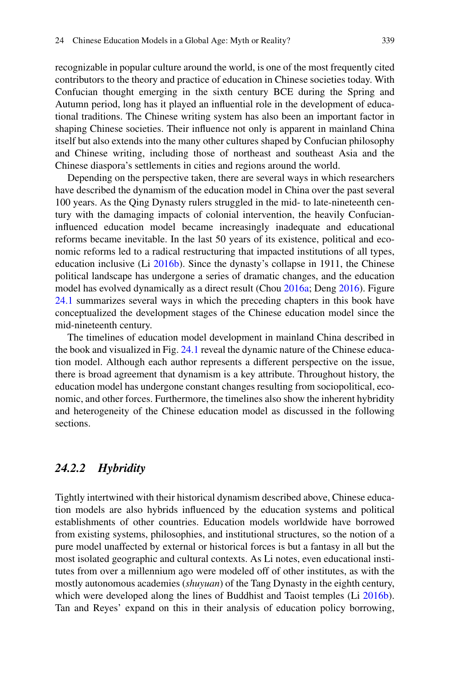recognizable in popular culture around the world, is one of the most frequently cited contributors to the theory and practice of education in Chinese societies today. With Confucian thought emerging in the sixth century BCE during the Spring and Autumn period, long has it played an influential role in the development of educational traditions. The Chinese writing system has also been an important factor in shaping Chinese societies. Their influence not only is apparent in mainland China itself but also extends into the many other cultures shaped by Confucian philosophy and Chinese writing, including those of northeast and southeast Asia and the Chinese diaspora's settlements in cities and regions around the world.

 Depending on the perspective taken, there are several ways in which researchers have described the dynamism of the education model in China over the past several 100 years. As the Qing Dynasty rulers struggled in the mid- to late-nineteenth century with the damaging impacts of colonial intervention, the heavily Confucianinfluenced education model became increasingly inadequate and educational reforms became inevitable. In the last 50 years of its existence, political and economic reforms led to a radical restructuring that impacted institutions of all types, education inclusive (Li  $2016b$ ). Since the dynasty's collapse in 1911, the Chinese political landscape has undergone a series of dramatic changes, and the education model has evolved dynamically as a direct result (Chou [2016](#page-16-0)a; Deng 2016). Figure [24.1](#page-3-0) summarizes several ways in which the preceding chapters in this book have conceptualized the development stages of the Chinese education model since the mid-nineteenth century.

 The timelines of education model development in mainland China described in the book and visualized in Fig. [24.1](#page-3-0) reveal the dynamic nature of the Chinese education model. Although each author represents a different perspective on the issue, there is broad agreement that dynamism is a key attribute. Throughout history, the education model has undergone constant changes resulting from sociopolitical, economic, and other forces. Furthermore, the timelines also show the inherent hybridity and heterogeneity of the Chinese education model as discussed in the following sections.

## *24.2.2 Hybridity*

 Tightly intertwined with their historical dynamism described above, Chinese education models are also hybrids influenced by the education systems and political establishments of other countries. Education models worldwide have borrowed from existing systems, philosophies, and institutional structures, so the notion of a pure model unaffected by external or historical forces is but a fantasy in all but the most isolated geographic and cultural contexts. As Li notes, even educational institutes from over a millennium ago were modeled off of other institutes, as with the mostly autonomous academies *(shuyuan)* of the Tang Dynasty in the eighth century, which were developed along the lines of Buddhist and Taoist temples (Li 2016b). Tan and Reyes' expand on this in their analysis of education policy borrowing,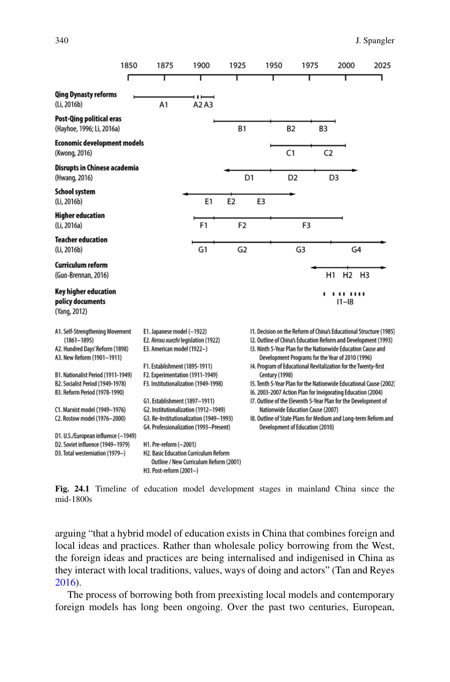<span id="page-3-0"></span>

|                                                                                                                                                                                                                                                                                                                                               | 1850 | 1875                                                                                                                                                                                                                                                                                                                                                                      | 1900                                                                                                                                                                                                                                                                                                                                                                                                                                                                                                                                                                                                                                                                                                | 1925           |                | 1950           | 1975           | 2000                                   | 2025 |
|-----------------------------------------------------------------------------------------------------------------------------------------------------------------------------------------------------------------------------------------------------------------------------------------------------------------------------------------------|------|---------------------------------------------------------------------------------------------------------------------------------------------------------------------------------------------------------------------------------------------------------------------------------------------------------------------------------------------------------------------------|-----------------------------------------------------------------------------------------------------------------------------------------------------------------------------------------------------------------------------------------------------------------------------------------------------------------------------------------------------------------------------------------------------------------------------------------------------------------------------------------------------------------------------------------------------------------------------------------------------------------------------------------------------------------------------------------------------|----------------|----------------|----------------|----------------|----------------------------------------|------|
|                                                                                                                                                                                                                                                                                                                                               |      |                                                                                                                                                                                                                                                                                                                                                                           |                                                                                                                                                                                                                                                                                                                                                                                                                                                                                                                                                                                                                                                                                                     |                |                |                |                |                                        |      |
| <b>Qing Dynasty reforms</b><br>(Li, 2016b)                                                                                                                                                                                                                                                                                                    |      | A1                                                                                                                                                                                                                                                                                                                                                                        | $\blacksquare$<br>A2A3                                                                                                                                                                                                                                                                                                                                                                                                                                                                                                                                                                                                                                                                              |                |                |                |                |                                        |      |
| Post-Qing political eras<br>(Hayhoe, 1996; Li, 2016a)                                                                                                                                                                                                                                                                                         |      |                                                                                                                                                                                                                                                                                                                                                                           |                                                                                                                                                                                                                                                                                                                                                                                                                                                                                                                                                                                                                                                                                                     | <b>B1</b>      |                | <b>B2</b>      | B <sub>3</sub> |                                        |      |
| <b>Economic development models</b><br>(Kwong, 2016)                                                                                                                                                                                                                                                                                           |      |                                                                                                                                                                                                                                                                                                                                                                           |                                                                                                                                                                                                                                                                                                                                                                                                                                                                                                                                                                                                                                                                                                     |                |                | C <sub>1</sub> | C <sub>2</sub> |                                        |      |
| Disrupts in Chinese academia<br>(Hwang, 2016)                                                                                                                                                                                                                                                                                                 |      |                                                                                                                                                                                                                                                                                                                                                                           |                                                                                                                                                                                                                                                                                                                                                                                                                                                                                                                                                                                                                                                                                                     |                | D <sub>1</sub> | D <sub>2</sub> |                | D <sub>3</sub>                         |      |
| <b>School system</b><br>(Li, 2016b)                                                                                                                                                                                                                                                                                                           |      |                                                                                                                                                                                                                                                                                                                                                                           | E1                                                                                                                                                                                                                                                                                                                                                                                                                                                                                                                                                                                                                                                                                                  | E <sub>2</sub> | E3             |                |                |                                        |      |
| <b>Higher education</b><br>(Li, 2016a)                                                                                                                                                                                                                                                                                                        |      |                                                                                                                                                                                                                                                                                                                                                                           | F1                                                                                                                                                                                                                                                                                                                                                                                                                                                                                                                                                                                                                                                                                                  | F <sub>2</sub> |                |                | F <sub>3</sub> |                                        |      |
| <b>Teacher education</b><br>(Li, 2016b)                                                                                                                                                                                                                                                                                                       |      |                                                                                                                                                                                                                                                                                                                                                                           | G <sub>1</sub>                                                                                                                                                                                                                                                                                                                                                                                                                                                                                                                                                                                                                                                                                      | G <sub>2</sub> |                |                | G <sub>3</sub> | G4                                     |      |
| Curriculum reform<br>(Guo-Brennan, 2016)                                                                                                                                                                                                                                                                                                      |      |                                                                                                                                                                                                                                                                                                                                                                           |                                                                                                                                                                                                                                                                                                                                                                                                                                                                                                                                                                                                                                                                                                     |                |                |                |                | H <sub>2</sub><br>H <sub>3</sub><br>H1 |      |
| Key higher education<br>policy documents<br>(Yang, 2012)                                                                                                                                                                                                                                                                                      |      |                                                                                                                                                                                                                                                                                                                                                                           |                                                                                                                                                                                                                                                                                                                                                                                                                                                                                                                                                                                                                                                                                                     |                |                |                |                | .<br>$11 - 18$                         |      |
| A1. Self-Strengthening Movement<br>$(1861 - 1895)$<br>A2. Hundred Days' Reform (1898)<br>A3. New Reform (1901-1911)<br>B1. Nationalist Period (1911-1949)<br><b>B2. Socialist Period (1949-1978)</b><br>B3. Reform Period (1978-1990)<br>C1. Marxist model (1949-1976)<br>C2. Rostow model (1976-2000)<br>D1. U.S./European influence (-1949) |      | E1. Japanese model (-1922)<br>E2. Renxu xuezhi legislation (1922)<br>E3. American model (1922-)<br>F1. Establishment (1895-1911)<br>F2. Experimentation (1911-1949)<br>F3. Institutionalization (1949-1998)<br>G1. Establishment (1897-1911)<br>G2. Institutionalization (1912-1949)<br>G3. Re-Institutionalization (1949-1993)<br>G4. Professionalization (1993-Present) | 11. Decision on the Reform of China's Educational Structure (1985)<br>I2. Outline of China's Education Reform and Development (1993)<br>13. Ninth 5-Year Plan for the Nationwide Education Cause and<br>Development Programs for the Year of 2010 (1996)<br>14. Program of Educational Revitalization for the Twenty-first<br><b>Century (1998)</b><br>I5. Tenth 5-Year Plan for the Nationwide Educational Cause (2002)<br>16. 2003-2007 Action Plan for Invigorating Education (2004)<br>17. Outline of the Eleventh 5-Year Plan for the Development of<br>Nationwide Education Cause (2007)<br>18. Outline of State Plans for Medium and Long-term Reform and<br>Development of Education (2010) |                |                |                |                |                                        |      |
| D2. Soviet influence (1949-1979)<br>D3. Total westerniation (1979-)                                                                                                                                                                                                                                                                           |      | H1. Pre-reform (-2001)<br>H2. Basic Education Curriculum Reform<br>Outline / New Curriculum Reform (2001)<br>H3. Post-reform (2001-)                                                                                                                                                                                                                                      |                                                                                                                                                                                                                                                                                                                                                                                                                                                                                                                                                                                                                                                                                                     |                |                |                |                |                                        |      |



arguing "that a hybrid model of education exists in China that combines foreign and local ideas and practices. Rather than wholesale policy borrowing from the West, the foreign ideas and practices are being internalised and indigenised in China as they interact with local traditions, values, ways of doing and actors" (Tan and Reyes 2016).

 The process of borrowing both from preexisting local models and contemporary foreign models has long been ongoing. Over the past two centuries, European,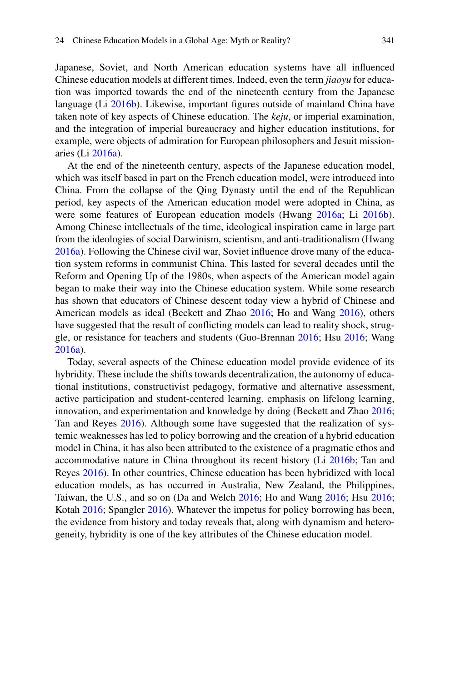Japanese, Soviet, and North American education systems have all influenced Chinese education models at different times. Indeed, even the term *jiaoyu* for education was imported towards the end of the nineteenth century from the Japanese language (Li  $2016b$ ). Likewise, important figures outside of mainland China have taken note of key aspects of Chinese education. The *keju* , or imperial examination, and the integration of imperial bureaucracy and higher education institutions, for example, were objects of admiration for European philosophers and Jesuit missionaries (Li  $2016a$ ).

 At the end of the nineteenth century, aspects of the Japanese education model, which was itself based in part on the French education model, were introduced into China. From the collapse of the Qing Dynasty until the end of the Republican period, key aspects of the American education model were adopted in China, as were some features of European education models (Hwang 2016a; Li 2016b). Among Chinese intellectuals of the time, ideological inspiration came in large part from the ideologies of social Darwinism, scientism, and anti-traditionalism (Hwang [2016a](#page-16-0)). Following the Chinese civil war, Soviet influence drove many of the education system reforms in communist China. This lasted for several decades until the Reform and Opening Up of the 1980s, when aspects of the American model again began to make their way into the Chinese education system. While some research has shown that educators of Chinese descent today view a hybrid of Chinese and American models as ideal (Beckett and Zhao [2016](#page-15-0); Ho and Wang 2016), others have suggested that the result of conflicting models can lead to reality shock, struggle, or resistance for teachers and students (Guo-Brennan [2016](#page-16-0) ; Hsu [2016](#page-16-0) ; Wang  $2016a$ .

 Today, several aspects of the Chinese education model provide evidence of its hybridity. These include the shifts towards decentralization, the autonomy of educational institutions, constructivist pedagogy, formative and alternative assessment, active participation and student-centered learning, emphasis on lifelong learning, innovation, and experimentation and knowledge by doing (Beckett and Zhao 2016; Tan and Reyes 2016). Although some have suggested that the realization of systemic weaknesses has led to policy borrowing and the creation of a hybrid education model in China, it has also been attributed to the existence of a pragmatic ethos and accommodative nature in China throughout its recent history (Li 2016b; Tan and Reyes 2016). In other countries, Chinese education has been hybridized with local education models, as has occurred in Australia, New Zealand, the Philippines, Taiwan, the U.S., and so on (Da and Welch [2016](#page-15-0); Ho and Wang 2016; Hsu 2016; Kotah [2016](#page-16-0); Spangler 2016). Whatever the impetus for policy borrowing has been, the evidence from history and today reveals that, along with dynamism and heterogeneity, hybridity is one of the key attributes of the Chinese education model.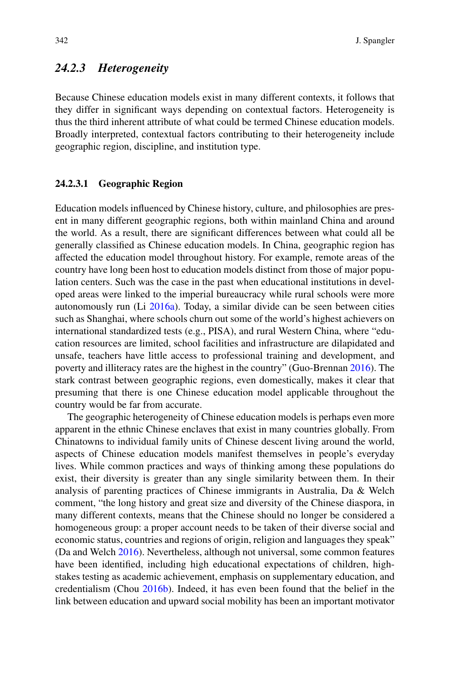# *24.2.3 Heterogeneity*

 Because Chinese education models exist in many different contexts, it follows that they differ in significant ways depending on contextual factors. Heterogeneity is thus the third inherent attribute of what could be termed Chinese education models. Broadly interpreted, contextual factors contributing to their heterogeneity include geographic region, discipline, and institution type.

### **24.2.3.1 Geographic Region**

Education models influenced by Chinese history, culture, and philosophies are present in many different geographic regions, both within mainland China and around the world. As a result, there are significant differences between what could all be generally classified as Chinese education models. In China, geographic region has affected the education model throughout history. For example, remote areas of the country have long been host to education models distinct from those of major population centers. Such was the case in the past when educational institutions in developed areas were linked to the imperial bureaucracy while rural schools were more autonomously run (Li  $2016a$ ). Today, a similar divide can be seen between cities such as Shanghai, where schools churn out some of the world's highest achievers on international standardized tests (e.g., PISA), and rural Western China, where "education resources are limited, school facilities and infrastructure are dilapidated and unsafe, teachers have little access to professional training and development, and poverty and illiteracy rates are the highest in the country" (Guo-Brennan [2016](#page-16-0)). The stark contrast between geographic regions, even domestically, makes it clear that presuming that there is one Chinese education model applicable throughout the country would be far from accurate.

 The geographic heterogeneity of Chinese education models is perhaps even more apparent in the ethnic Chinese enclaves that exist in many countries globally. From Chinatowns to individual family units of Chinese descent living around the world, aspects of Chinese education models manifest themselves in people's everyday lives. While common practices and ways of thinking among these populations do exist, their diversity is greater than any single similarity between them. In their analysis of parenting practices of Chinese immigrants in Australia, Da & Welch comment, "the long history and great size and diversity of the Chinese diaspora, in many different contexts, means that the Chinese should no longer be considered a homogeneous group: a proper account needs to be taken of their diverse social and economic status, countries and regions of origin, religion and languages they speak" (Da and Welch 2016). Nevertheless, although not universal, some common features have been identified, including high educational expectations of children, highstakes testing as academic achievement, emphasis on supplementary education, and credentialism (Chou  $2016b$ ). Indeed, it has even been found that the belief in the link between education and upward social mobility has been an important motivator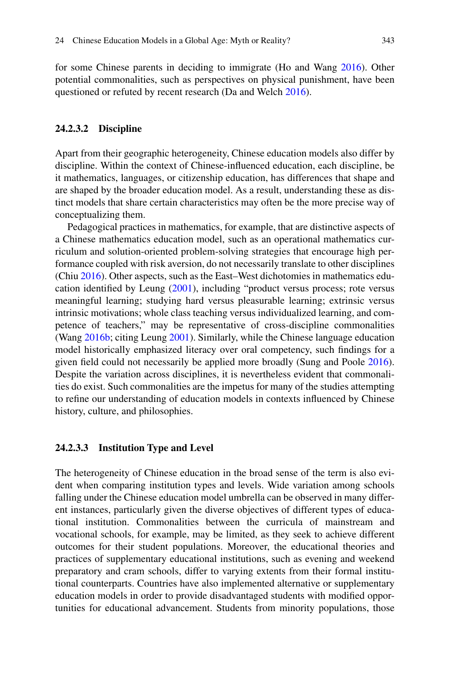for some Chinese parents in deciding to immigrate (Ho and Wang [2016](#page-16-0)). Other potential commonalities, such as perspectives on physical punishment, have been questioned or refuted by recent research (Da and Welch 2016).

#### **24.2.3.2 Discipline**

 Apart from their geographic heterogeneity, Chinese education models also differ by discipline. Within the context of Chinese-influenced education, each discipline, be it mathematics, languages, or citizenship education, has differences that shape and are shaped by the broader education model. As a result, understanding these as distinct models that share certain characteristics may often be the more precise way of conceptualizing them.

 Pedagogical practices in mathematics, for example, that are distinctive aspects of a Chinese mathematics education model, such as an operational mathematics curriculum and solution-oriented problem-solving strategies that encourage high performance coupled with risk aversion, do not necessarily translate to other disciplines (Chiu  $2016$ ). Other aspects, such as the East–West dichotomies in mathematics education identified by Leung  $(2001)$ , including "product versus process; rote versus meaningful learning; studying hard versus pleasurable learning; extrinsic versus intrinsic motivations; whole class teaching versus individualized learning, and competence of teachers," may be representative of cross-discipline commonalities (Wang  $2016b$ ; citing Leung  $2001$ ). Similarly, while the Chinese language education model historically emphasized literacy over oral competency, such findings for a given field could not necessarily be applied more broadly (Sung and Poole 2016). Despite the variation across disciplines, it is nevertheless evident that commonalities do exist. Such commonalities are the impetus for many of the studies attempting to refine our understanding of education models in contexts influenced by Chinese history, culture, and philosophies.

#### **24.2.3.3 Institution Type and Level**

 The heterogeneity of Chinese education in the broad sense of the term is also evident when comparing institution types and levels. Wide variation among schools falling under the Chinese education model umbrella can be observed in many different instances, particularly given the diverse objectives of different types of educational institution. Commonalities between the curricula of mainstream and vocational schools, for example, may be limited, as they seek to achieve different outcomes for their student populations. Moreover, the educational theories and practices of supplementary educational institutions, such as evening and weekend preparatory and cram schools, differ to varying extents from their formal institutional counterparts. Countries have also implemented alternative or supplementary education models in order to provide disadvantaged students with modified opportunities for educational advancement. Students from minority populations, those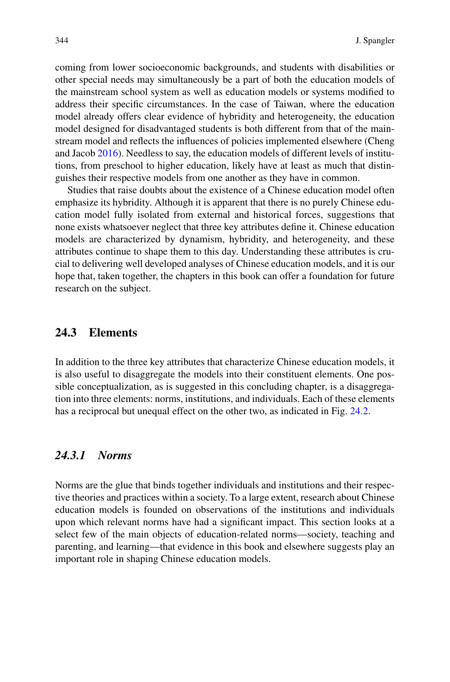coming from lower socioeconomic backgrounds, and students with disabilities or other special needs may simultaneously be a part of both the education models of the mainstream school system as well as education models or systems modified to address their specific circumstances. In the case of Taiwan, where the education model already offers clear evidence of hybridity and heterogeneity, the education model designed for disadvantaged students is both different from that of the mainstream model and reflects the influences of policies implemented elsewhere (Cheng and Jacob [2016](#page-15-0) ). Needless to say, the education models of different levels of institutions, from preschool to higher education, likely have at least as much that distinguishes their respective models from one another as they have in common.

 Studies that raise doubts about the existence of a Chinese education model often emphasize its hybridity. Although it is apparent that there is no purely Chinese education model fully isolated from external and historical forces, suggestions that none exists whatsoever neglect that three key attributes define it. Chinese education models are characterized by dynamism, hybridity, and heterogeneity, and these attributes continue to shape them to this day. Understanding these attributes is crucial to delivering well developed analyses of Chinese education models, and it is our hope that, taken together, the chapters in this book can offer a foundation for future research on the subject.

## **24.3 Elements**

 In addition to the three key attributes that characterize Chinese education models, it is also useful to disaggregate the models into their constituent elements. One possible conceptualization, as is suggested in this concluding chapter, is a disaggregation into three elements: norms, institutions, and individuals. Each of these elements has a reciprocal but unequal effect on the other two, as indicated in Fig. 24.2.

# *24.3.1 Norms*

 Norms are the glue that binds together individuals and institutions and their respective theories and practices within a society. To a large extent, research about Chinese education models is founded on observations of the institutions and individuals upon which relevant norms have had a significant impact. This section looks at a select few of the main objects of education-related norms—society, teaching and parenting, and learning—that evidence in this book and elsewhere suggests play an important role in shaping Chinese education models.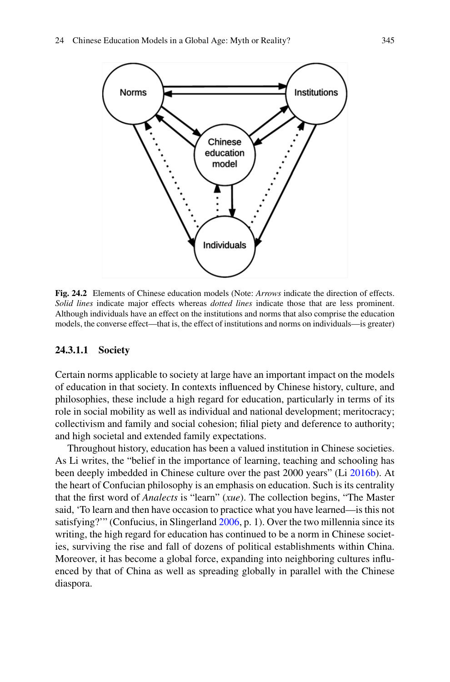<span id="page-8-0"></span>

 **Fig. 24.2** Elements of Chinese education models (Note: *Arrows* indicate the direction of effects. *Solid lines* indicate major effects whereas *dotted lines* indicate those that are less prominent. Although individuals have an effect on the institutions and norms that also comprise the education models, the converse effect—that is, the effect of institutions and norms on individuals—is greater)

#### **24.3.1.1 Society**

 Certain norms applicable to society at large have an important impact on the models of education in that society. In contexts influenced by Chinese history, culture, and philosophies, these include a high regard for education, particularly in terms of its role in social mobility as well as individual and national development; meritocracy; collectivism and family and social cohesion; filial piety and deference to authority; and high societal and extended family expectations.

 Throughout history, education has been a valued institution in Chinese societies. As Li writes, the "belief in the importance of learning, teaching and schooling has been deeply imbedded in Chinese culture over the past 2000 years" (Li [2016b](#page-16-0)). At the heart of Confucian philosophy is an emphasis on education. Such is its centrality that the first word of *Analects* is "learn" (*xue*). The collection begins, "The Master said, 'To learn and then have occasion to practice what you have learned—is this not satisfying?'" (Confucius, in Slingerland 2006, p. 1). Over the two millennia since its writing, the high regard for education has continued to be a norm in Chinese societies, surviving the rise and fall of dozens of political establishments within China. Moreover, it has become a global force, expanding into neighboring cultures influenced by that of China as well as spreading globally in parallel with the Chinese diaspora.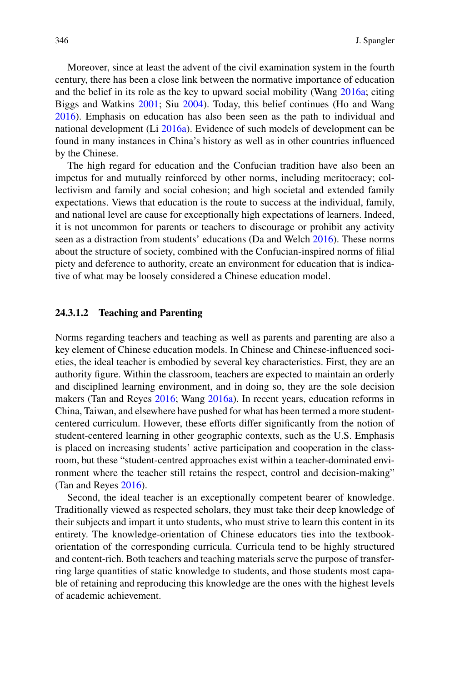Moreover, since at least the advent of the civil examination system in the fourth century, there has been a close link between the normative importance of education and the belief in its role as the key to upward social mobility (Wang  $2016a$ ; citing Biggs and Watkins [2001](#page-15-0); Siu 2004). Today, this belief continues (Ho and Wang [2016 \)](#page-16-0). Emphasis on education has also been seen as the path to individual and national development (Li  $2016a$ ). Evidence of such models of development can be found in many instances in China's history as well as in other countries influenced by the Chinese.

 The high regard for education and the Confucian tradition have also been an impetus for and mutually reinforced by other norms, including meritocracy; collectivism and family and social cohesion; and high societal and extended family expectations. Views that education is the route to success at the individual, family, and national level are cause for exceptionally high expectations of learners. Indeed, it is not uncommon for parents or teachers to discourage or prohibit any activity seen as a distraction from students' educations (Da and Welch 2016). These norms about the structure of society, combined with the Confucian-inspired norms of filial piety and deference to authority, create an environment for education that is indicative of what may be loosely considered a Chinese education model.

#### **24.3.1.2 Teaching and Parenting**

 Norms regarding teachers and teaching as well as parents and parenting are also a key element of Chinese education models. In Chinese and Chinese-influenced soci-eties, the ideal teacher is embodied by several key characteristics. First, they are an authority figure. Within the classroom, teachers are expected to maintain an orderly and disciplined learning environment, and in doing so, they are the sole decision makers (Tan and Reyes  $2016$ ; Wang  $2016a$ ). In recent years, education reforms in China, Taiwan, and elsewhere have pushed for what has been termed a more studentcentered curriculum. However, these efforts differ significantly from the notion of student-centered learning in other geographic contexts, such as the U.S. Emphasis is placed on increasing students' active participation and cooperation in the classroom, but these "student-centred approaches exist within a teacher-dominated environment where the teacher still retains the respect, control and decision-making" (Tan and Reyes  $2016$ ).

 Second, the ideal teacher is an exceptionally competent bearer of knowledge. Traditionally viewed as respected scholars, they must take their deep knowledge of their subjects and impart it unto students, who must strive to learn this content in its entirety. The knowledge-orientation of Chinese educators ties into the textbookorientation of the corresponding curricula. Curricula tend to be highly structured and content-rich. Both teachers and teaching materials serve the purpose of transferring large quantities of static knowledge to students, and those students most capable of retaining and reproducing this knowledge are the ones with the highest levels of academic achievement.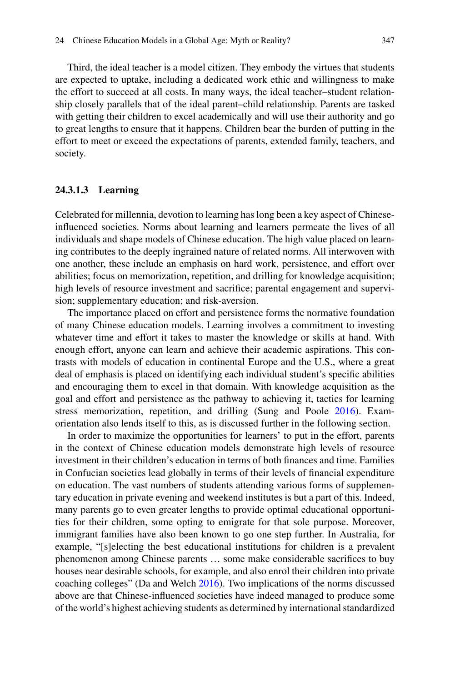Third, the ideal teacher is a model citizen. They embody the virtues that students are expected to uptake, including a dedicated work ethic and willingness to make the effort to succeed at all costs. In many ways, the ideal teacher–student relationship closely parallels that of the ideal parent–child relationship. Parents are tasked with getting their children to excel academically and will use their authority and go to great lengths to ensure that it happens. Children bear the burden of putting in the effort to meet or exceed the expectations of parents, extended family, teachers, and society.

#### **24.3.1.3 Learning**

 Celebrated for millennia, devotion to learning has long been a key aspect of Chineseinfluenced societies. Norms about learning and learners permeate the lives of all individuals and shape models of Chinese education. The high value placed on learning contributes to the deeply ingrained nature of related norms. All interwoven with one another, these include an emphasis on hard work, persistence, and effort over abilities; focus on memorization, repetition, and drilling for knowledge acquisition; high levels of resource investment and sacrifice; parental engagement and supervision; supplementary education; and risk-aversion.

 The importance placed on effort and persistence forms the normative foundation of many Chinese education models. Learning involves a commitment to investing whatever time and effort it takes to master the knowledge or skills at hand. With enough effort, anyone can learn and achieve their academic aspirations. This contrasts with models of education in continental Europe and the U.S., where a great deal of emphasis is placed on identifying each individual student's specific abilities and encouraging them to excel in that domain. With knowledge acquisition as the goal and effort and persistence as the pathway to achieving it, tactics for learning stress memorization, repetition, and drilling (Sung and Poole [2016](#page-16-0)). Examorientation also lends itself to this, as is discussed further in the following section.

 In order to maximize the opportunities for learners' to put in the effort, parents in the context of Chinese education models demonstrate high levels of resource investment in their children's education in terms of both finances and time. Families in Confucian societies lead globally in terms of their levels of financial expenditure on education. The vast numbers of students attending various forms of supplementary education in private evening and weekend institutes is but a part of this. Indeed, many parents go to even greater lengths to provide optimal educational opportunities for their children, some opting to emigrate for that sole purpose. Moreover, immigrant families have also been known to go one step further. In Australia, for example, "[s]electing the best educational institutions for children is a prevalent phenomenon among Chinese parents ... some make considerable sacrifices to buy houses near desirable schools, for example, and also enrol their children into private coaching colleges" (Da and Welch [2016](#page-15-0) ). Two implications of the norms discussed above are that Chinese-influenced societies have indeed managed to produce some of the world's highest achieving students as determined by international standardized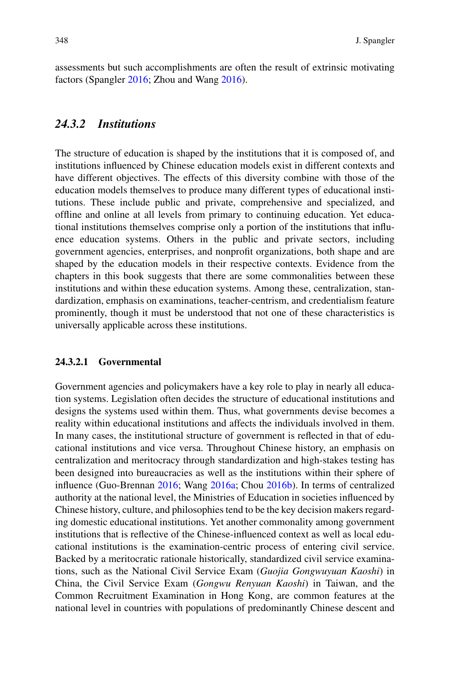assessments but such accomplishments are often the result of extrinsic motivating factors (Spangler  $2016$ ; Zhou and Wang  $2016$ ).

# *24.3.2 Institutions*

 The structure of education is shaped by the institutions that it is composed of, and institutions influenced by Chinese education models exist in different contexts and have different objectives. The effects of this diversity combine with those of the education models themselves to produce many different types of educational institutions. These include public and private, comprehensive and specialized, and offline and online at all levels from primary to continuing education. Yet educational institutions themselves comprise only a portion of the institutions that influence education systems. Others in the public and private sectors, including government agencies, enterprises, and nonprofi t organizations, both shape and are shaped by the education models in their respective contexts. Evidence from the chapters in this book suggests that there are some commonalities between these institutions and within these education systems. Among these, centralization, standardization, emphasis on examinations, teacher-centrism, and credentialism feature prominently, though it must be understood that not one of these characteristics is universally applicable across these institutions.

### **24.3.2.1 Governmental**

 Government agencies and policymakers have a key role to play in nearly all education systems. Legislation often decides the structure of educational institutions and designs the systems used within them. Thus, what governments devise becomes a reality within educational institutions and affects the individuals involved in them. In many cases, the institutional structure of government is reflected in that of educational institutions and vice versa. Throughout Chinese history, an emphasis on centralization and meritocracy through standardization and high-stakes testing has been designed into bureaucracies as well as the institutions within their sphere of influence (Guo-Brennan [2016](#page-16-0); Wang [2016a](#page-16-0); Chou [2016b](#page-15-0)). In terms of centralized authority at the national level, the Ministries of Education in societies influenced by Chinese history, culture, and philosophies tend to be the key decision makers regarding domestic educational institutions. Yet another commonality among government institutions that is reflective of the Chinese-influenced context as well as local educational institutions is the examination-centric process of entering civil service. Backed by a meritocratic rationale historically, standardized civil service examinations, such as the National Civil Service Exam ( *Guojia Gongwuyuan Kaoshi* ) in China, the Civil Service Exam ( *Gongwu Renyuan Kaoshi* ) in Taiwan, and the Common Recruitment Examination in Hong Kong, are common features at the national level in countries with populations of predominantly Chinese descent and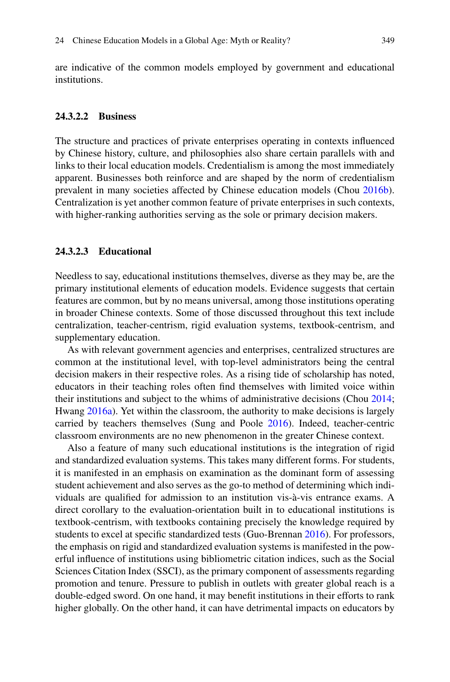are indicative of the common models employed by government and educational institutions.

#### **24.3.2.2 Business**

The structure and practices of private enterprises operating in contexts influenced by Chinese history, culture, and philosophies also share certain parallels with and links to their local education models. Credentialism is among the most immediately apparent. Businesses both reinforce and are shaped by the norm of credentialism prevalent in many societies affected by Chinese education models (Chou 2016b). Centralization is yet another common feature of private enterprises in such contexts, with higher-ranking authorities serving as the sole or primary decision makers.

#### **24.3.2.3 Educational**

 Needless to say, educational institutions themselves, diverse as they may be, are the primary institutional elements of education models. Evidence suggests that certain features are common, but by no means universal, among those institutions operating in broader Chinese contexts. Some of those discussed throughout this text include centralization, teacher-centrism, rigid evaluation systems, textbook-centrism, and supplementary education.

 As with relevant government agencies and enterprises, centralized structures are common at the institutional level, with top-level administrators being the central decision makers in their respective roles. As a rising tide of scholarship has noted, educators in their teaching roles often find themselves with limited voice within their institutions and subject to the whims of administrative decisions (Chou [2014 ;](#page-15-0) Hwang  $2016a$ ). Yet within the classroom, the authority to make decisions is largely carried by teachers themselves (Sung and Poole 2016). Indeed, teacher-centric classroom environments are no new phenomenon in the greater Chinese context.

 Also a feature of many such educational institutions is the integration of rigid and standardized evaluation systems. This takes many different forms. For students, it is manifested in an emphasis on examination as the dominant form of assessing student achievement and also serves as the go-to method of determining which individuals are qualified for admission to an institution vis-à-vis entrance exams. A direct corollary to the evaluation-orientation built in to educational institutions is textbook-centrism, with textbooks containing precisely the knowledge required by students to excel at specific standardized tests (Guo-Brennan 2016). For professors, the emphasis on rigid and standardized evaluation systems is manifested in the powerful influence of institutions using bibliometric citation indices, such as the Social Sciences Citation Index (SSCI), as the primary component of assessments regarding promotion and tenure. Pressure to publish in outlets with greater global reach is a double-edged sword. On one hand, it may benefit institutions in their efforts to rank higher globally. On the other hand, it can have detrimental impacts on educators by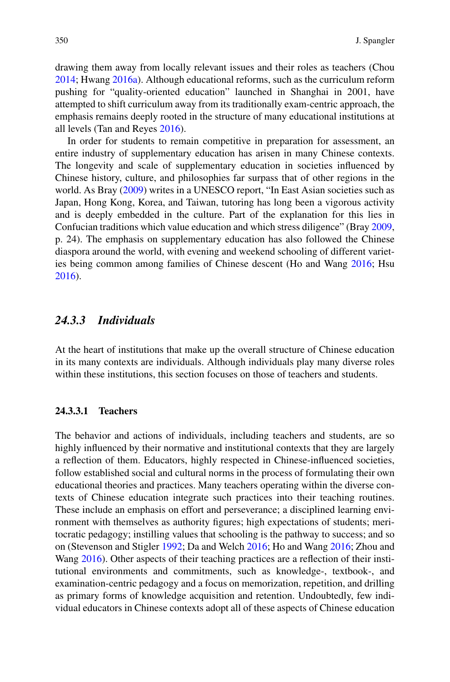drawing them away from locally relevant issues and their roles as teachers (Chou 2014; Hwang [2016a](#page-16-0)). Although educational reforms, such as the curriculum reform pushing for "quality-oriented education" launched in Shanghai in 2001, have attempted to shift curriculum away from its traditionally exam-centric approach, the emphasis remains deeply rooted in the structure of many educational institutions at all levels (Tan and Reyes [2016](#page-16-0)).

 In order for students to remain competitive in preparation for assessment, an entire industry of supplementary education has arisen in many Chinese contexts. The longevity and scale of supplementary education in societies influenced by Chinese history, culture, and philosophies far surpass that of other regions in the world. As Bray (2009) writes in a UNESCO report, "In East Asian societies such as Japan, Hong Kong, Korea, and Taiwan, tutoring has long been a vigorous activity and is deeply embedded in the culture. Part of the explanation for this lies in Confucian traditions which value education and which stress diligence" (Bray [2009](#page-15-0), p. 24). The emphasis on supplementary education has also followed the Chinese diaspora around the world, with evening and weekend schooling of different variet-ies being common among families of Chinese descent (Ho and Wang [2016](#page-16-0); Hsu 2016).

# *24.3.3 Individuals*

 At the heart of institutions that make up the overall structure of Chinese education in its many contexts are individuals. Although individuals play many diverse roles within these institutions, this section focuses on those of teachers and students.

#### **24.3.3.1 Teachers**

 The behavior and actions of individuals, including teachers and students, are so highly influenced by their normative and institutional contexts that they are largely a reflection of them. Educators, highly respected in Chinese-influenced societies, follow established social and cultural norms in the process of formulating their own educational theories and practices. Many teachers operating within the diverse contexts of Chinese education integrate such practices into their teaching routines. These include an emphasis on effort and perseverance; a disciplined learning environment with themselves as authority figures; high expectations of students; meritocratic pedagogy; instilling values that schooling is the pathway to success; and so on (Stevenson and Stigler [1992](#page-16-0) ; Da and Welch [2016](#page-15-0) ; Ho and Wang [2016 ;](#page-16-0) Zhou and Wang  $2016$ ). Other aspects of their teaching practices are a reflection of their institutional environments and commitments, such as knowledge-, textbook-, and examination- centric pedagogy and a focus on memorization, repetition, and drilling as primary forms of knowledge acquisition and retention. Undoubtedly, few individual educators in Chinese contexts adopt all of these aspects of Chinese education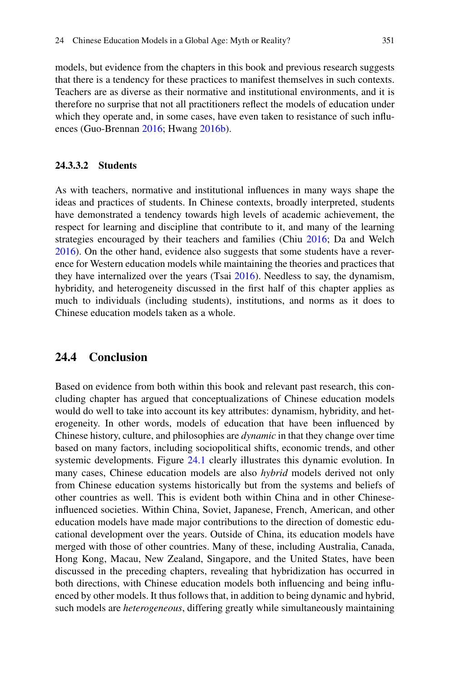models, but evidence from the chapters in this book and previous research suggests that there is a tendency for these practices to manifest themselves in such contexts. Teachers are as diverse as their normative and institutional environments, and it is therefore no surprise that not all practitioners reflect the models of education under which they operate and, in some cases, have even taken to resistance of such influ-ences (Guo-Brennan 2016; Hwang [2016b](#page-16-0)).

#### **24.3.3.2 Students**

As with teachers, normative and institutional influences in many ways shape the ideas and practices of students. In Chinese contexts, broadly interpreted, students have demonstrated a tendency towards high levels of academic achievement, the respect for learning and discipline that contribute to it, and many of the learning strategies encouraged by their teachers and families (Chiu 2016; Da and Welch [2016 \)](#page-15-0). On the other hand, evidence also suggests that some students have a reverence for Western education models while maintaining the theories and practices that they have internalized over the years (Tsai [2016](#page-16-0) ). Needless to say, the dynamism, hybridity, and heterogeneity discussed in the first half of this chapter applies as much to individuals (including students), institutions, and norms as it does to Chinese education models taken as a whole.

# **24.4 Conclusion**

 Based on evidence from both within this book and relevant past research, this concluding chapter has argued that conceptualizations of Chinese education models would do well to take into account its key attributes: dynamism, hybridity, and heterogeneity. In other words, models of education that have been influenced by Chinese history, culture, and philosophies are *dynamic* in that they change over time based on many factors, including sociopolitical shifts, economic trends, and other systemic developments. Figure [24.1](#page-3-0) clearly illustrates this dynamic evolution. In many cases, Chinese education models are also *hybrid* models derived not only from Chinese education systems historically but from the systems and beliefs of other countries as well. This is evident both within China and in other Chineseinfluenced societies. Within China, Soviet, Japanese, French, American, and other education models have made major contributions to the direction of domestic educational development over the years. Outside of China, its education models have merged with those of other countries. Many of these, including Australia, Canada, Hong Kong, Macau, New Zealand, Singapore, and the United States, have been discussed in the preceding chapters, revealing that hybridization has occurred in both directions, with Chinese education models both influencing and being influenced by other models. It thus follows that, in addition to being dynamic and hybrid, such models are *heterogeneous* , differing greatly while simultaneously maintaining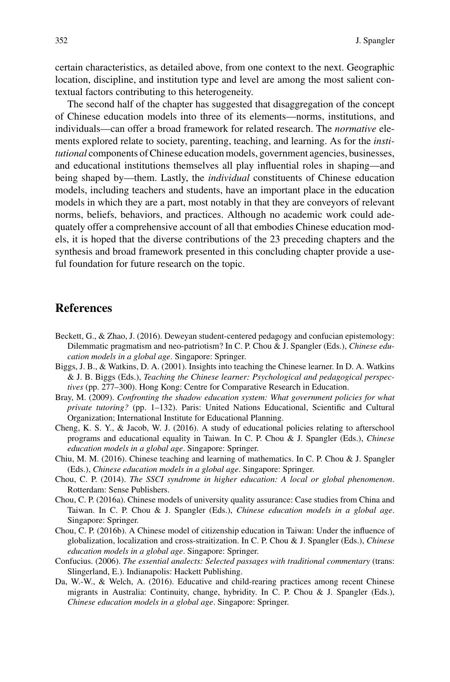<span id="page-15-0"></span>certain characteristics, as detailed above, from one context to the next. Geographic location, discipline, and institution type and level are among the most salient contextual factors contributing to this heterogeneity.

 The second half of the chapter has suggested that disaggregation of the concept of Chinese education models into three of its elements—norms, institutions, and individuals—can offer a broad framework for related research. The *normative* elements explored relate to society, parenting, teaching, and learning. As for the *institutional* components of Chinese education models, government agencies, businesses, and educational institutions themselves all play influential roles in shaping—and being shaped by—them. Lastly, the *individual* constituents of Chinese education models, including teachers and students, have an important place in the education models in which they are a part, most notably in that they are conveyors of relevant norms, beliefs, behaviors, and practices. Although no academic work could adequately offer a comprehensive account of all that embodies Chinese education models, it is hoped that the diverse contributions of the 23 preceding chapters and the synthesis and broad framework presented in this concluding chapter provide a useful foundation for future research on the topic.

### **References**

- Beckett, G., & Zhao, J. (2016). Deweyan student-centered pedagogy and confucian epistemology: Dilemmatic pragmatism and neo-patriotism? In C. P. Chou & J. Spangler (Eds.), *Chinese education models in a global age* . Singapore: Springer.
- Biggs, J. B., & Watkins, D. A. (2001). Insights into teaching the Chinese learner. In D. A. Watkins & J. B. Biggs (Eds.), *Teaching the Chinese learner: Psychological and pedagogical perspectives* (pp. 277–300). Hong Kong: Centre for Comparative Research in Education.
- Bray, M. (2009). *Confronting the shadow education system: What government policies for what private tutoring?* (pp. 1-132). Paris: United Nations Educational, Scientific and Cultural Organization; International Institute for Educational Planning.
- Cheng, K. S. Y., & Jacob, W. J. (2016). A study of educational policies relating to afterschool programs and educational equality in Taiwan. In C. P. Chou & J. Spangler (Eds.), *Chinese education models in a global age* . Singapore: Springer.
- Chiu, M. M. (2016). Chinese teaching and learning of mathematics. In C. P. Chou & J. Spangler (Eds.), *Chinese education models in a global age* . Singapore: Springer.
- Chou, C. P. (2014). *The SSCI syndrome in higher education: A local or global phenomenon* . Rotterdam: Sense Publishers.
- Chou, C. P. (2016a). Chinese models of university quality assurance: Case studies from China and Taiwan. In C. P. Chou & J. Spangler (Eds.), *Chinese education models in a global age* . Singapore: Springer.
- Chou, C. P. (2016b). A Chinese model of citizenship education in Taiwan: Under the influence of globalization, localization and cross-straitization. In C. P. Chou & J. Spangler (Eds.), *Chinese education models in a global age* . Singapore: Springer.
- Confucius. (2006). *The essential analects: Selected passages with traditional commentary* (trans: Slingerland, E.). Indianapolis: Hackett Publishing.
- Da, W.-W., & Welch, A. (2016). Educative and child-rearing practices among recent Chinese migrants in Australia: Continuity, change, hybridity. In C. P. Chou & J. Spangler (Eds.), *Chinese education models in a global age* . Singapore: Springer.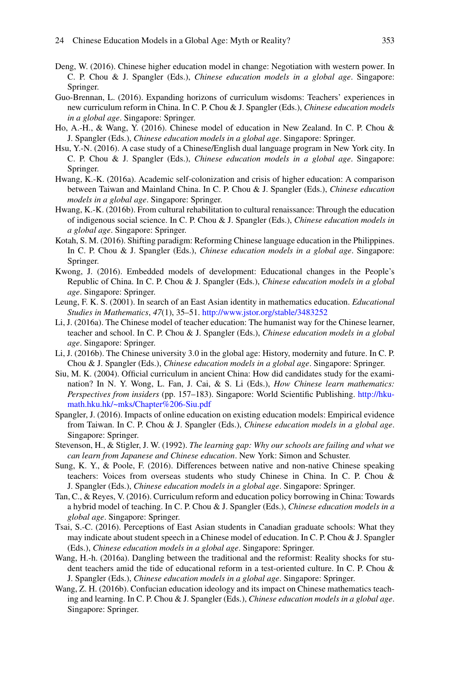- <span id="page-16-0"></span> Deng, W. (2016). Chinese higher education model in change: Negotiation with western power. In C. P. Chou & J. Spangler (Eds.), *Chinese education models in a global age* . Singapore: Springer.
- Guo-Brennan, L. (2016). Expanding horizons of curriculum wisdoms: Teachers' experiences in new curriculum reform in China. In C. P. Chou & J. Spangler (Eds.), *Chinese education models in a global age*. Singapore: Springer.
- Ho, A.-H., & Wang, Y. (2016). Chinese model of education in New Zealand. In C. P. Chou & J. Spangler (Eds.), *Chinese education models in a global age* . Singapore: Springer.
- Hsu, Y.-N. (2016). A case study of a Chinese/English dual language program in New York city. In C. P. Chou & J. Spangler (Eds.), *Chinese education models in a global age* . Singapore: Springer.
- Hwang, K.-K. (2016a). Academic self-colonization and crisis of higher education: A comparison between Taiwan and Mainland China. In C. P. Chou & J. Spangler (Eds.), *Chinese education models in a global age* . Singapore: Springer.
- Hwang, K.-K. (2016b). From cultural rehabilitation to cultural renaissance: Through the education of indigenous social science. In C. P. Chou & J. Spangler (Eds.), *Chinese education models in a global age* . Singapore: Springer.
- Kotah, S. M. (2016). Shifting paradigm: Reforming Chinese language education in the Philippines. In C. P. Chou & J. Spangler (Eds.), *Chinese education models in a global age* . Singapore: Springer.
- Kwong, J. (2016). Embedded models of development: Educational changes in the People's Republic of China. In C. P. Chou & J. Spangler (Eds.), *Chinese education models in a global age* . Singapore: Springer.
- Leung, F. K. S. (2001). In search of an East Asian identity in mathematics education. *Educational Studies in Mathematics* , *47* (1), 35–51. <http://www.jstor.org/stable/3483252>
- Li, J. (2016a). The Chinese model of teacher education: The humanist way for the Chinese learner, teacher and school. In C. P. Chou & J. Spangler (Eds.), *Chinese education models in a global age* . Singapore: Springer.
- Li, J. (2016b). The Chinese university 3.0 in the global age: History, modernity and future. In C. P. Chou & J. Spangler (Eds.), *Chinese education models in a global age* . Singapore: Springer.
- Siu, M. K. (2004). Official curriculum in ancient China: How did candidates study for the examination? In N. Y. Wong, L. Fan, J. Cai, & S. Li (Eds.), *How Chinese learn mathematics:*  Perspectives from insiders (pp. 157-183). Singapore: World Scientific Publishing. [http://hku](http://hkumath.hku.hk/~mks/Chapter 6-Siu.pdf)[math.hku.hk/~mks/Chapter%206-Siu.pdf](http://hkumath.hku.hk/~mks/Chapter 6-Siu.pdf)
- Spangler, J. (2016). Impacts of online education on existing education models: Empirical evidence from Taiwan. In C. P. Chou & J. Spangler (Eds.), *Chinese education models in a global age* . Singapore: Springer.
- Stevenson, H., & Stigler, J. W. (1992). *The learning gap: Why our schools are failing and what we can learn from Japanese and Chinese education* . New York: Simon and Schuster.
- Sung, K. Y., & Poole, F. (2016). Differences between native and non-native Chinese speaking teachers: Voices from overseas students who study Chinese in China. In C. P. Chou & J. Spangler (Eds.), *Chinese education models in a global age* . Singapore: Springer.
- Tan, C., & Reyes, V. (2016). Curriculum reform and education policy borrowing in China: Towards a hybrid model of teaching. In C. P. Chou & J. Spangler (Eds.), *Chinese education models in a global age* . Singapore: Springer.
- Tsai, S.-C. (2016). Perceptions of East Asian students in Canadian graduate schools: What they may indicate about student speech in a Chinese model of education. In C. P. Chou & J. Spangler (Eds.), *Chinese education models in a global age* . Singapore: Springer.
- Wang, H.-h. (2016a). Dangling between the traditional and the reformist: Reality shocks for student teachers amid the tide of educational reform in a test-oriented culture. In C. P. Chou & J. Spangler (Eds.), *Chinese education models in a global age* . Singapore: Springer.
- Wang, Z. H. (2016b). Confucian education ideology and its impact on Chinese mathematics teaching and learning. In C. P. Chou & J. Spangler (Eds.), *Chinese education models in a global age* . Singapore: Springer.